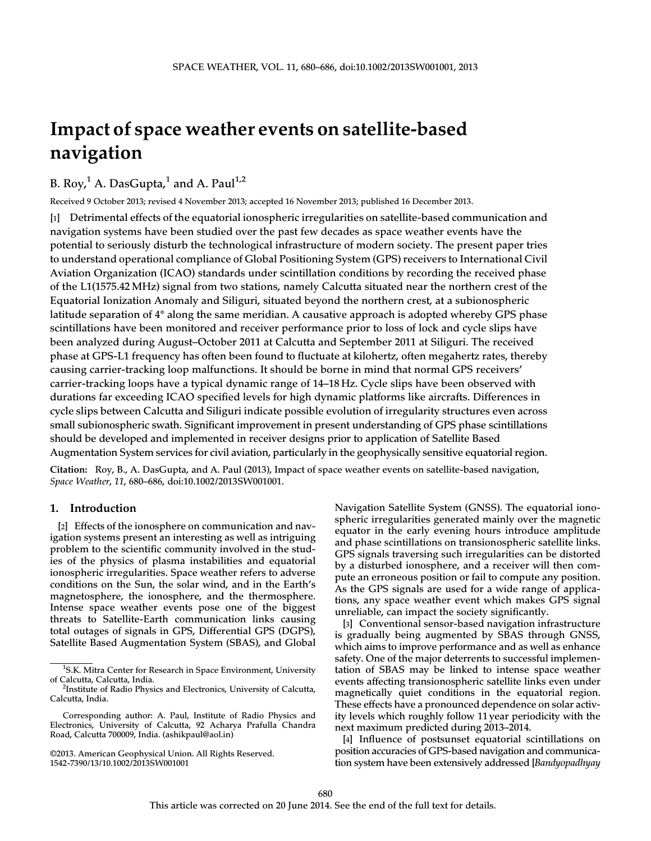# Impact of space weather events on satellite-based navigation

B. Roy, $^1$  A. DasGupta, $^1$  and A. Paul $^{1,2}$ 

Received 9 October 2013; revised 4 November 2013; accepted 16 November 2013; published 16 December 2013.

[1] Detrimental effects of the equatorial ionospheric irregularities on satellite-based communication and navigation systems have been studied over the past few decades as space weather events have the potential to seriously disturb the technological infrastructure of modern society. The present paper tries to understand operational compliance of Global Positioning System (GPS) receivers to International Civil Aviation Organization (ICAO) standards under scintillation conditions by recording the received phase of the L1(1575.42 MHz) signal from two stations, namely Calcutta situated near the northern crest of the Equatorial Ionization Anomaly and Siliguri, situated beyond the northern crest, at a subionospheric latitude separation of 4° along the same meridian. A causative approach is adopted whereby GPS phase scintillations have been monitored and receiver performance prior to loss of lock and cycle slips have been analyzed during August–October 2011 at Calcutta and September 2011 at Siliguri. The received phase at GPS-L1 frequency has often been found to fluctuate at kilohertz, often megahertz rates, thereby causing carrier-tracking loop malfunctions. It should be borne in mind that normal GPS receivers' carrier-tracking loops have a typical dynamic range of 14–18 Hz. Cycle slips have been observed with durations far exceeding ICAO specified levels for high dynamic platforms like aircrafts. Differences in cycle slips between Calcutta and Siliguri indicate possible evolution of irregularity structures even across small subionospheric swath. Significant improvement in present understanding of GPS phase scintillations should be developed and implemented in receiver designs prior to application of Satellite Based Augmentation System services for civil aviation, particularly in the geophysically sensitive equatorial region.

Citation: Roy, B., A. DasGupta, and A. Paul (2013), Impact of space weather events on satellite-based navigation, Space Weather, 11, 680–686, doi:10.1002/2013SW001001.

## 1. Introduction

[2] Effects of the ionosphere on communication and navigation systems present an interesting as well as intriguing problem to the scientific community involved in the studies of the physics of plasma instabilities and equatorial ionospheric irregularities. Space weather refers to adverse conditions on the Sun, the solar wind, and in the Earth's magnetosphere, the ionosphere, and the thermosphere. Intense space weather events pose one of the biggest threats to Satellite-Earth communication links causing total outages of signals in GPS, Differential GPS (DGPS), Satellite Based Augmentation System (SBAS), and Global

Navigation Satellite System (GNSS). The equatorial ionospheric irregularities generated mainly over the magnetic equator in the early evening hours introduce amplitude and phase scintillations on transionospheric satellite links. GPS signals traversing such irregularities can be distorted by a disturbed ionosphere, and a receiver will then compute an erroneous position or fail to compute any position. As the GPS signals are used for a wide range of applications, any space weather event which makes GPS signal unreliable, can impact the society significantly.

[3] Conventional sensor-based navigation infrastructure is gradually being augmented by SBAS through GNSS, which aims to improve performance and as well as enhance safety. One of the major deterrents to successful implementation of SBAS may be linked to intense space weather events affecting transionospheric satellite links even under magnetically quiet conditions in the equatorial region. These effects have a pronounced dependence on solar activity levels which roughly follow 11 year periodicity with the next maximum predicted during 2013–2014.

[4] Influence of postsunset equatorial scintillations on position accuracies of GPS-based navigation and communication system have been extensively addressed [Bandyopadhyay

<sup>&</sup>lt;sup>1</sup>S.K. Mitra Center for Research in Space Environment, University of Calcutta, Calcutta, India.

<sup>&</sup>lt;sup>2</sup>Institute of Radio Physics and Electronics, University of Calcutta, Calcutta, India.

Corresponding author: A. Paul, Institute of Radio Physics and Electronics, University of Calcutta, 92 Acharya Prafulla Chandra Road, Calcutta 700009, India. (ashikpaul@aol.in)

<sup>©2013.</sup> American Geophysical Union. All Rights Reserved. 1542-7390/13/10.1002/2013SW001001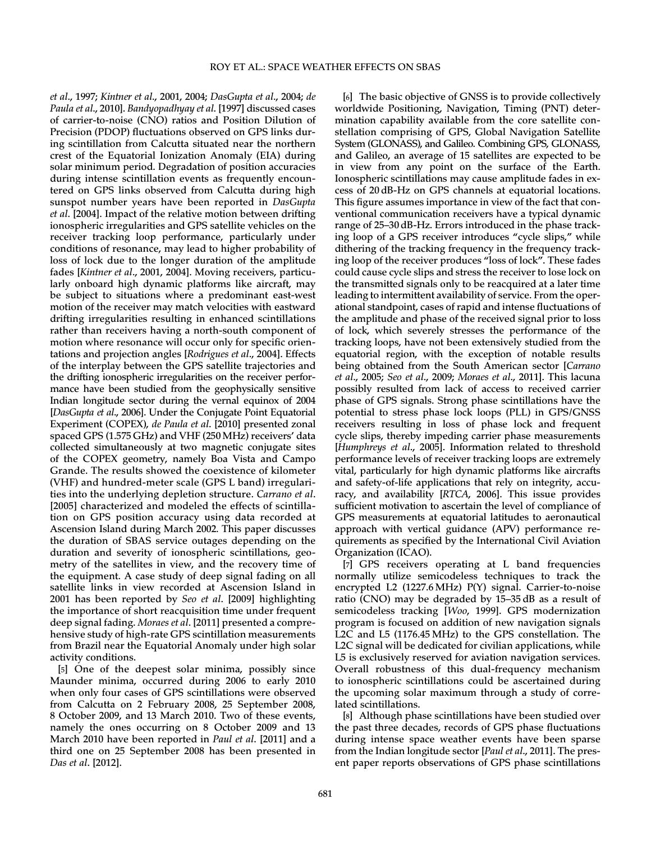et al., 1997; Kintner et al., 2001, 2004; DasGupta et al., 2004; de Paula et al., 2010]. Bandyopadhyay et al. [1997] discussed cases of carrier-to-noise (CNO) ratios and Position Dilution of Precision (PDOP) fluctuations observed on GPS links during scintillation from Calcutta situated near the northern crest of the Equatorial Ionization Anomaly (EIA) during solar minimum period. Degradation of position accuracies during intense scintillation events as frequently encountered on GPS links observed from Calcutta during high sunspot number years have been reported in DasGupta et al. [2004]. Impact of the relative motion between drifting ionospheric irregularities and GPS satellite vehicles on the receiver tracking loop performance, particularly under conditions of resonance, may lead to higher probability of loss of lock due to the longer duration of the amplitude fades [Kintner et al., 2001, 2004]. Moving receivers, particularly onboard high dynamic platforms like aircraft, may be subject to situations where a predominant east-west motion of the receiver may match velocities with eastward drifting irregularities resulting in enhanced scintillations rather than receivers having a north-south component of motion where resonance will occur only for specific orientations and projection angles [Rodrigues et al., 2004]. Effects of the interplay between the GPS satellite trajectories and the drifting ionospheric irregularities on the receiver performance have been studied from the geophysically sensitive Indian longitude sector during the vernal equinox of 2004 [DasGupta et al., 2006]. Under the Conjugate Point Equatorial Experiment (COPEX), de Paula et al. [2010] presented zonal spaced GPS (1.575 GHz) and VHF (250MHz) receivers' data collected simultaneously at two magnetic conjugate sites of the COPEX geometry, namely Boa Vista and Campo Grande. The results showed the coexistence of kilometer (VHF) and hundred-meter scale (GPS L band) irregularities into the underlying depletion structure. Carrano et al. [2005] characterized and modeled the effects of scintillation on GPS position accuracy using data recorded at Ascension Island during March 2002. This paper discusses the duration of SBAS service outages depending on the duration and severity of ionospheric scintillations, geometry of the satellites in view, and the recovery time of the equipment. A case study of deep signal fading on all satellite links in view recorded at Ascension Island in 2001 has been reported by Seo et al. [2009] highlighting the importance of short reacquisition time under frequent deep signal fading. Moraes et al. [2011] presented a comprehensive study of high-rate GPS scintillation measurements from Brazil near the Equatorial Anomaly under high solar activity conditions.

[5] One of the deepest solar minima, possibly since Maunder minima, occurred during 2006 to early 2010 when only four cases of GPS scintillations were observed from Calcutta on 2 February 2008, 25 September 2008, 8 October 2009, and 13 March 2010. Two of these events, namely the ones occurring on 8 October 2009 and 13 March 2010 have been reported in Paul et al. [2011] and a third one on 25 September 2008 has been presented in Das et al. [2012].

[6] The basic objective of GNSS is to provide collectively worldwide Positioning, Navigation, Timing (PNT) determination capability available from the core satellite constellation comprising of GPS, Global Navigation Satellite System (GLONASS), and Galileo. Combining GPS, GLONASS, and Galileo, an average of 15 satellites are expected to be in view from any point on the surface of the Earth. Ionospheric scintillations may cause amplitude fades in excess of 20 dB-Hz on GPS channels at equatorial locations. This figure assumes importance in view of the fact that conventional communication receivers have a typical dynamic range of 25–30 dB-Hz. Errors introduced in the phase tracking loop of a GPS receiver introduces "cycle slips," while dithering of the tracking frequency in the frequency tracking loop of the receiver produces "loss of lock". These fades could cause cycle slips and stress the receiver to lose lock on the transmitted signals only to be reacquired at a later time leading to intermittent availability of service. From the operational standpoint, cases of rapid and intense fluctuations of the amplitude and phase of the received signal prior to loss of lock, which severely stresses the performance of the tracking loops, have not been extensively studied from the equatorial region, with the exception of notable results being obtained from the South American sector [Carrano] et al., 2005; Seo et al., 2009; Moraes et al., 2011]. This lacuna possibly resulted from lack of access to received carrier phase of GPS signals. Strong phase scintillations have the potential to stress phase lock loops (PLL) in GPS/GNSS receivers resulting in loss of phase lock and frequent cycle slips, thereby impeding carrier phase measurements [Humphreys et al., 2005]. Information related to threshold performance levels of receiver tracking loops are extremely vital, particularly for high dynamic platforms like aircrafts and safety-of-life applications that rely on integrity, accuracy, and availability [RTCA, 2006]. This issue provides sufficient motivation to ascertain the level of compliance of GPS measurements at equatorial latitudes to aeronautical approach with vertical guidance (APV) performance requirements as specified by the International Civil Aviation Organization (ICAO).

[7] GPS receivers operating at L band frequencies normally utilize semicodeless techniques to track the encrypted L2 (1227.6 MHz) P(Y) signal. Carrier-to-noise ratio (CNO) may be degraded by 15–35 dB as a result of semicodeless tracking [Woo, 1999]. GPS modernization program is focused on addition of new navigation signals L2C and L5 (1176.45 MHz) to the GPS constellation. The L2C signal will be dedicated for civilian applications, while L5 is exclusively reserved for aviation navigation services. Overall robustness of this dual-frequency mechanism to ionospheric scintillations could be ascertained during the upcoming solar maximum through a study of correlated scintillations.

[8] Although phase scintillations have been studied over the past three decades, records of GPS phase fluctuations during intense space weather events have been sparse from the Indian longitude sector [Paul et al., 2011]. The present paper reports observations of GPS phase scintillations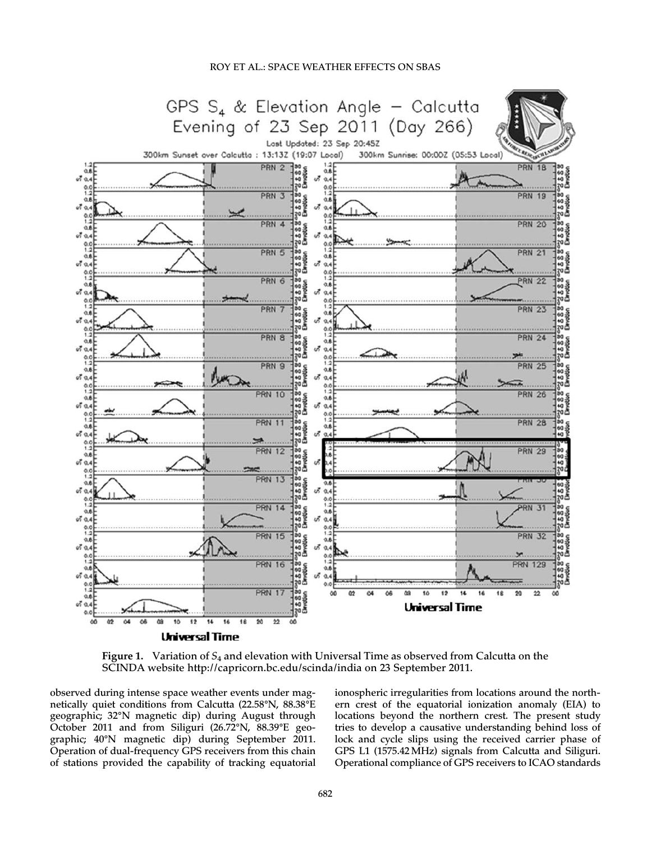

Figure 1. Variation of  $S_4$  and elevation with Universal Time as observed from Calcutta on the SCINDA website http://capricorn.bc.edu/scinda/india on 23 September 2011.

observed during intense space weather events under magnetically quiet conditions from Calcutta (22.58°N, 88.38°E geographic; 32°N magnetic dip) during August through October 2011 and from Siliguri (26.72°N, 88.39°E geographic; 40°N magnetic dip) during September 2011. Operation of dual-frequency GPS receivers from this chain of stations provided the capability of tracking equatorial ionospheric irregularities from locations around the northern crest of the equatorial ionization anomaly (EIA) to locations beyond the northern crest. The present study tries to develop a causative understanding behind loss of lock and cycle slips using the received carrier phase of GPS L1 (1575.42MHz) signals from Calcutta and Siliguri. Operational compliance of GPS receivers to ICAO standards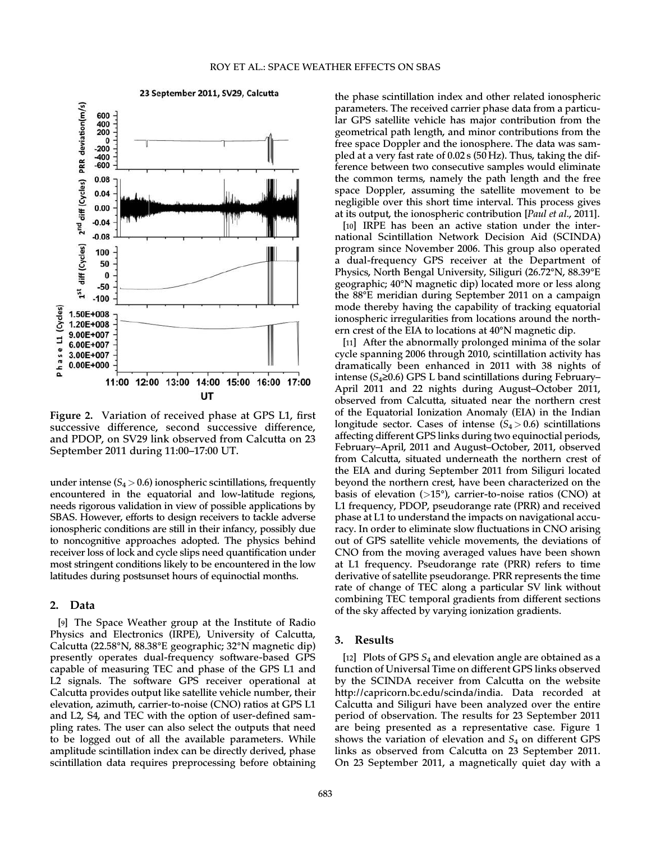

Figure 2. Variation of received phase at GPS L1, first successive difference, second successive difference, and PDOP, on SV29 link observed from Calcutta on 23 September 2011 during 11:00–17:00 UT.

under intense ( $S_4 > 0.6$ ) ionospheric scintillations, frequently encountered in the equatorial and low-latitude regions, needs rigorous validation in view of possible applications by SBAS. However, efforts to design receivers to tackle adverse ionospheric conditions are still in their infancy, possibly due to noncognitive approaches adopted. The physics behind receiver loss of lock and cycle slips need quantification under most stringent conditions likely to be encountered in the low latitudes during postsunset hours of equinoctial months.

### 2. Data

[9] The Space Weather group at the Institute of Radio Physics and Electronics (IRPE), University of Calcutta, Calcutta (22.58°N, 88.38°E geographic; 32°N magnetic dip) presently operates dual-frequency software-based GPS capable of measuring TEC and phase of the GPS L1 and L2 signals. The software GPS receiver operational at Calcutta provides output like satellite vehicle number, their elevation, azimuth, carrier-to-noise (CNO) ratios at GPS L1 and L2, S4, and TEC with the option of user-defined sampling rates. The user can also select the outputs that need to be logged out of all the available parameters. While amplitude scintillation index can be directly derived, phase scintillation data requires preprocessing before obtaining the phase scintillation index and other related ionospheric parameters. The received carrier phase data from a particular GPS satellite vehicle has major contribution from the geometrical path length, and minor contributions from the free space Doppler and the ionosphere. The data was sampled at a very fast rate of 0.02 s (50 Hz). Thus, taking the difference between two consecutive samples would eliminate the common terms, namely the path length and the free space Doppler, assuming the satellite movement to be negligible over this short time interval. This process gives at its output, the ionospheric contribution [Paul et al., 2011].

[10] IRPE has been an active station under the international Scintillation Network Decision Aid (SCINDA) program since November 2006. This group also operated a dual-frequency GPS receiver at the Department of Physics, North Bengal University, Siliguri (26.72°N, 88.39°E geographic; 40°N magnetic dip) located more or less along the 88°E meridian during September 2011 on a campaign mode thereby having the capability of tracking equatorial ionospheric irregularities from locations around the northern crest of the EIA to locations at 40°N magnetic dip.

[11] After the abnormally prolonged minima of the solar cycle spanning 2006 through 2010, scintillation activity has dramatically been enhanced in 2011 with 38 nights of intense ( $S_4$ ≥0.6) GPS L band scintillations during February– April 2011 and 22 nights during August–October 2011, observed from Calcutta, situated near the northern crest of the Equatorial Ionization Anomaly (EIA) in the Indian longitude sector. Cases of intense  $(S_4 > 0.6)$  scintillations affecting different GPS links during two equinoctial periods, February–April, 2011 and August–October, 2011, observed from Calcutta, situated underneath the northern crest of the EIA and during September 2011 from Siliguri located beyond the northern crest, have been characterized on the basis of elevation  $(>15^{\circ})$ , carrier-to-noise ratios (CNO) at L1 frequency, PDOP, pseudorange rate (PRR) and received phase at L1 to understand the impacts on navigational accuracy. In order to eliminate slow fluctuations in CNO arising out of GPS satellite vehicle movements, the deviations of CNO from the moving averaged values have been shown at L1 frequency. Pseudorange rate (PRR) refers to time derivative of satellite pseudorange. PRR represents the time rate of change of TEC along a particular SV link without combining TEC temporal gradients from different sections of the sky affected by varying ionization gradients.

#### 3. Results

[12] Plots of GPS  $S_4$  and elevation angle are obtained as a function of Universal Time on different GPS links observed by the SCINDA receiver from Calcutta on the website http://capricorn.bc.edu/scinda/india. Data recorded at Calcutta and Siliguri have been analyzed over the entire period of observation. The results for 23 September 2011 are being presented as a representative case. Figure 1 shows the variation of elevation and  $S_4$  on different GPS links as observed from Calcutta on 23 September 2011. On 23 September 2011, a magnetically quiet day with a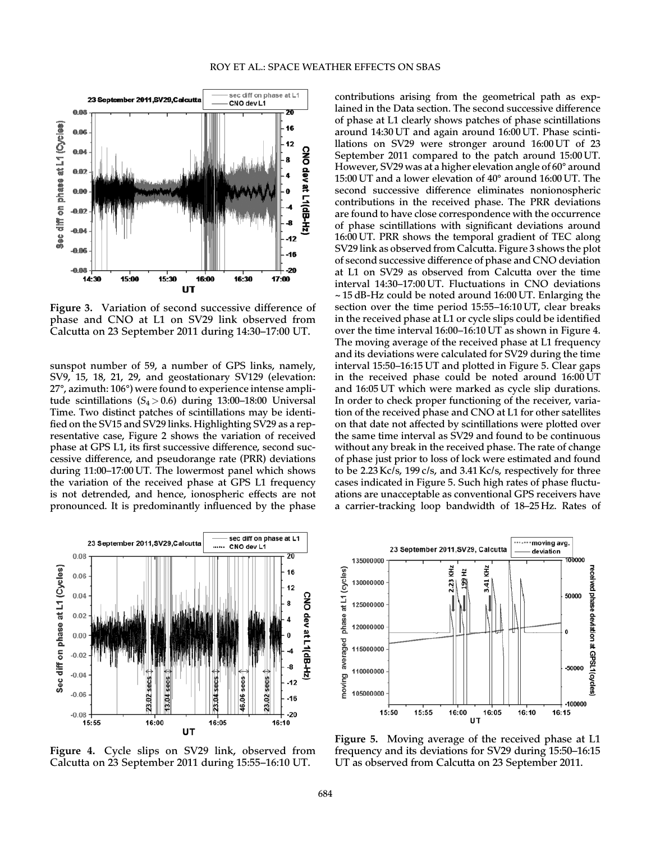

Figure 3. Variation of second successive difference of phase and CNO at L1 on SV29 link observed from Calcutta on 23 September 2011 during 14:30–17:00 UT.

sunspot number of 59, a number of GPS links, namely, SV9, 15, 18, 21, 29, and geostationary SV129 (elevation: 27°, azimuth: 106°) were found to experience intense amplitude scintillations  $(S_4 > 0.6)$  during 13:00-18:00 Universal Time. Two distinct patches of scintillations may be identified on the SV15 and SV29 links. Highlighting SV29 as a representative case, Figure 2 shows the variation of received phase at GPS L1, its first successive difference, second successive difference, and pseudorange rate (PRR) deviations during 11:00–17:00 UT. The lowermost panel which shows the variation of the received phase at GPS L1 frequency is not detrended, and hence, ionospheric effects are not pronounced. It is predominantly influenced by the phase contributions arising from the geometrical path as explained in the Data section. The second successive difference of phase at L1 clearly shows patches of phase scintillations around 14:30 UT and again around 16:00 UT. Phase scintillations on SV29 were stronger around 16:00 UT of 23 September 2011 compared to the patch around 15:00 UT. However, SV29 was at a higher elevation angle of 60° around 15:00 UT and a lower elevation of 40° around 16:00 UT. The second successive difference eliminates nonionospheric contributions in the received phase. The PRR deviations are found to have close correspondence with the occurrence of phase scintillations with significant deviations around 16:00 UT. PRR shows the temporal gradient of TEC along SV29 link as observed from Calcutta. Figure 3 shows the plot of second successive difference of phase and CNO deviation at L1 on SV29 as observed from Calcutta over the time interval 14:30–17:00 UT. Fluctuations in CNO deviations ~ 15 dB-Hz could be noted around 16:00 UT. Enlarging the section over the time period 15:55–16:10 UT, clear breaks in the received phase at L1 or cycle slips could be identified over the time interval 16:00–16:10 UT as shown in Figure 4. The moving average of the received phase at L1 frequency and its deviations were calculated for SV29 during the time interval 15:50–16:15 UT and plotted in Figure 5. Clear gaps in the received phase could be noted around 16:00 UT and 16:05 UT which were marked as cycle slip durations. In order to check proper functioning of the receiver, variation of the received phase and CNO at L1 for other satellites on that date not affected by scintillations were plotted over the same time interval as SV29 and found to be continuous without any break in the received phase. The rate of change of phase just prior to loss of lock were estimated and found to be 2.23 Kc/s, 199 c/s, and 3.41 Kc/s, respectively for three cases indicated in Figure 5. Such high rates of phase fluctuations are unacceptable as conventional GPS receivers have a carrier-tracking loop bandwidth of 18–25 Hz. Rates of



Figure 4. Cycle slips on SV29 link, observed from Calcutta on 23 September 2011 during 15:55–16:10 UT.



Figure 5. Moving average of the received phase at L1 frequency and its deviations for SV29 during 15:50–16:15 UT as observed from Calcutta on 23 September 2011.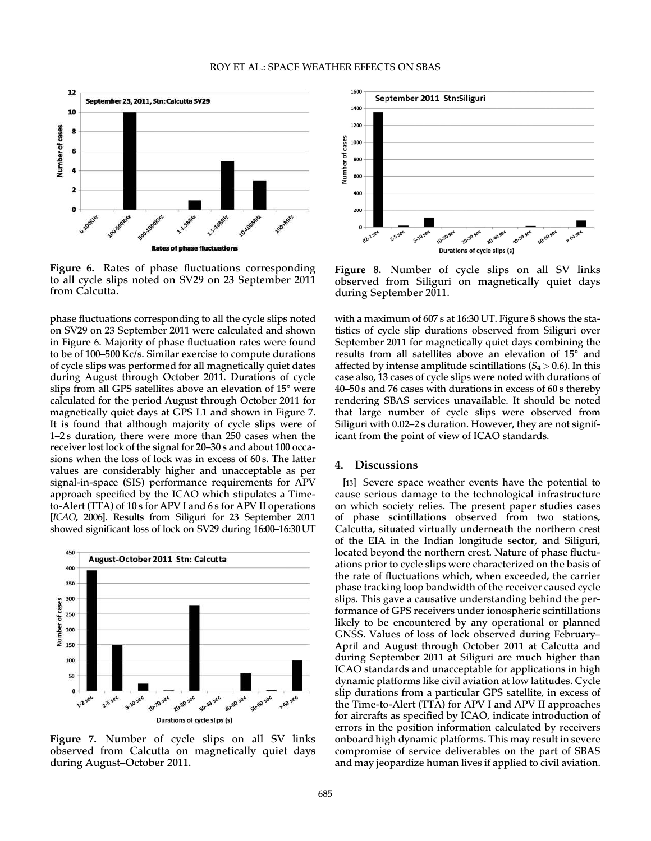

Figure 6. Rates of phase fluctuations corresponding to all cycle slips noted on SV29 on 23 September 2011 from Calcutta.

phase fluctuations corresponding to all the cycle slips noted on SV29 on 23 September 2011 were calculated and shown in Figure 6. Majority of phase fluctuation rates were found to be of 100–500 Kc/s. Similar exercise to compute durations of cycle slips was performed for all magnetically quiet dates during August through October 2011. Durations of cycle slips from all GPS satellites above an elevation of 15° were calculated for the period August through October 2011 for magnetically quiet days at GPS L1 and shown in Figure 7. It is found that although majority of cycle slips were of 1–2 s duration, there were more than 250 cases when the receiver lost lock of the signal for 20–30 s and about 100 occasions when the loss of lock was in excess of 60 s. The latter values are considerably higher and unacceptable as per signal-in-space (SIS) performance requirements for APV approach specified by the ICAO which stipulates a Timeto-Alert (TTA) of 10 s for APV I and 6 s for APV II operations [ICAO, 2006]. Results from Siliguri for 23 September 2011 showed significant loss of lock on SV29 during 16:00–16:30 UT



Figure 7. Number of cycle slips on all SV links observed from Calcutta on magnetically quiet days during August–October 2011.



Figure 8. Number of cycle slips on all SV links observed from Siliguri on magnetically quiet days during September 2011.

with a maximum of 607 s at 16:30 UT. Figure 8 shows the statistics of cycle slip durations observed from Siliguri over September 2011 for magnetically quiet days combining the results from all satellites above an elevation of 15° and affected by intense amplitude scintillations  $(S_4 > 0.6)$ . In this case also, 13 cases of cycle slips were noted with durations of 40–50 s and 76 cases with durations in excess of 60 s thereby rendering SBAS services unavailable. It should be noted that large number of cycle slips were observed from Siliguri with 0.02–2 s duration. However, they are not significant from the point of view of ICAO standards.

#### 4. Discussions

[13] Severe space weather events have the potential to cause serious damage to the technological infrastructure on which society relies. The present paper studies cases of phase scintillations observed from two stations, Calcutta, situated virtually underneath the northern crest of the EIA in the Indian longitude sector, and Siliguri, located beyond the northern crest. Nature of phase fluctuations prior to cycle slips were characterized on the basis of the rate of fluctuations which, when exceeded, the carrier phase tracking loop bandwidth of the receiver caused cycle slips. This gave a causative understanding behind the performance of GPS receivers under ionospheric scintillations likely to be encountered by any operational or planned GNSS. Values of loss of lock observed during February– April and August through October 2011 at Calcutta and during September 2011 at Siliguri are much higher than ICAO standards and unacceptable for applications in high dynamic platforms like civil aviation at low latitudes. Cycle slip durations from a particular GPS satellite, in excess of the Time-to-Alert (TTA) for APV I and APV II approaches for aircrafts as specified by ICAO, indicate introduction of errors in the position information calculated by receivers onboard high dynamic platforms. This may result in severe compromise of service deliverables on the part of SBAS and may jeopardize human lives if applied to civil aviation.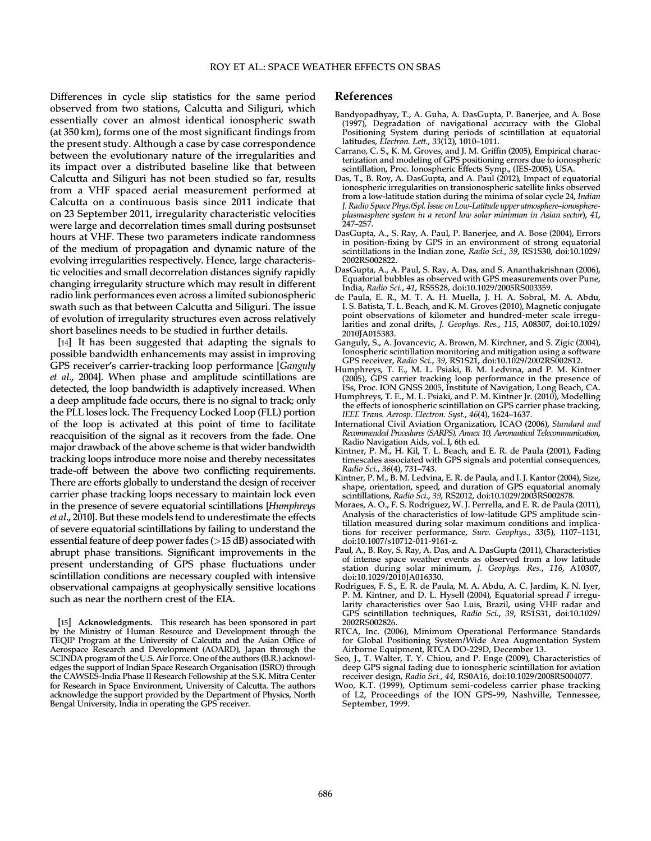Differences in cycle slip statistics for the same period observed from two stations, Calcutta and Siliguri, which essentially cover an almost identical ionospheric swath (at 350 km), forms one of the most significant findings from the present study. Although a case by case correspondence between the evolutionary nature of the irregularities and its impact over a distributed baseline like that between Calcutta and Siliguri has not been studied so far, results from a VHF spaced aerial measurement performed at Calcutta on a continuous basis since 2011 indicate that on 23 September 2011, irregularity characteristic velocities were large and decorrelation times small during postsunset hours at VHF. These two parameters indicate randomness of the medium of propagation and dynamic nature of the evolving irregularities respectively. Hence, large characteristic velocities and small decorrelation distances signify rapidly changing irregularity structure which may result in different radio link performances even across a limited subionospheric swath such as that between Calcutta and Siliguri. The issue of evolution of irregularity structures even across relatively short baselines needs to be studied in further details.

[14] It has been suggested that adapting the signals to possible bandwidth enhancements may assist in improving GPS receiver's carrier-tracking loop performance [Ganguly et al., 2004]. When phase and amplitude scintillations are detected, the loop bandwidth is adaptively increased. When a deep amplitude fade occurs, there is no signal to track; only the PLL loses lock. The Frequency Locked Loop (FLL) portion of the loop is activated at this point of time to facilitate reacquisition of the signal as it recovers from the fade. One major drawback of the above scheme is that wider bandwidth tracking loops introduce more noise and thereby necessitates trade-off between the above two conflicting requirements. There are efforts globally to understand the design of receiver carrier phase tracking loops necessary to maintain lock even in the presence of severe equatorial scintillations [Humphreys et al., 2010]. But these models tend to underestimate the effects of severe equatorial scintillations by failing to understand the essential feature of deep power fades (>15 dB) associated with abrupt phase transitions. Significant improvements in the present understanding of GPS phase fluctuations under scintillation conditions are necessary coupled with intensive observational campaigns at geophysically sensitive locations such as near the northern crest of the EIA.

#### References

- Bandyopadhyay, T., A. Guha, A. DasGupta, P. Banerjee, and A. Bose (1997), Degradation of navigational accuracy with the Global Positioning System during periods of scintillation at equatorial latitudes, Electron. Lett., 33(12), 1010–1011.
- Carrano, C. S., K. M. Groves, and J. M. Griffin (2005), Empirical characterization and modeling of GPS positioning errors due to ionospheric scintillation, Proc. Ionospheric Effects Symp., (IES-2005), USA.
- Das, T., B. Roy, A. DasGupta, and A. Paul (2012), Impact of equatorial ionospheric irregularities on transionospheric satellite links observed from a low-latitude station during the minima of solar cycle 24, Indian J. Radio Space Phys.(Spl. Issue on Low-Latitude upper atmosphere–ionosphereplasmasphere system in a record low solar minimum in Asian sector), 41, 247–257.
- DasGupta, A., S. Ray, A. Paul, P. Banerjee, and A. Bose (2004), Errors in position-fixing by GPS in an environment of strong equatorial scintillations in the Indian zone, Radio Sci., 39, RS1S30, doi:10.1029/ 2002RS002822.
- DasGupta, A., A. Paul, S. Ray, A. Das, and S. Ananthakrishnan (2006), Equatorial bubbles as observed with GPS measurements over Pune, India, Radio Sci., 41, RS5S28, doi:10.1029/2005RS003359.
- de Paula, E. R., M. T. A. H. Muella, J. H. A. Sobral, M. A. Abdu, I. S. Batista, T. L. Beach, and K. M. Groves (2010), Magnetic conjugate point observations of kilometer and hundred-meter scale irregularities and zonal drifts, J. Geophys. Res., 115, A08307, doi:10.1029/ 2010JA015383.
- Ganguly, S., A. Jovancevic, A. Brown, M. Kirchner, and S. Zigic (2004), Ionospheric scintillation monitoring and mitigation using a software GPS receiver, Radio Sci., 39, RS1S21, doi:10.1029/2002RS002812.
- Humphreys, T. E., M. L. Psiaki, B. M. Ledvina, and P. M. Kintner (2005), GPS carrier tracking loop performance in the presence of ISs, Proc. ION GNSS 2005, Institute of Navigation, Long Beach, CA.
- Humphreys, T. E., M. L. Psiaki, and P. M. Kintner Jr. (2010), Modelling the effects of ionospheric scintillation on GPS carrier phase tracking, IEEE Trans. Aerosp. Electron. Syst., 46(4), 1624–1637.
- International Civil Aviation Organization, ICAO (2006), Standard and Recommended Procedures (SARPS), Annex 10, Aeronautical Telecommunication, Radio Navigation Aids, vol. I, 6th ed.
- Kintner, P. M., H. Kil, T. L. Beach, and E. R. de Paula (2001), Fading timescales associated with GPS signals and potential consequences, Radio Sci., 36(4), 731–743.
- Kintner, P. M., B. M. Ledvina, E. R. de Paula, and I. J. Kantor (2004), Size, shape, orientation, speed, and duration of GPS equatorial anomaly scintillations, Radio Sci., 39, RS2012, doi:10.1029/2003RS002878.
- Moraes, A. O., F. S. Rodriguez, W. J. Perrella, and E. R. de Paula (2011), Analysis of the characteristics of low-latitude GPS amplitude scintillation measured during solar maximum conditions and implications for receiver performance, Surv. Geophys., 33(5), 1107-1131, doi:10.1007/s10712-011-9161-z.
- Paul, A., B. Roy, S. Ray, A. Das, and A. DasGupta (2011), Characteristics of intense space weather events as observed from a low latitude station during solar minimum, J. Geophys. Res., 116, A10307, doi:10.1029/2010JA016330.
- Rodrigues, F. S., E. R. de Paula, M. A. Abdu, A. C. Jardim, K. N. Iyer, P. M. Kintner, and D. L. Hysell (2004), Equatorial spread F irregularity characteristics over Sao Luis, Brazil, using VHF radar and GPS scintillation techniques, Radio Sci., 39, RS1S31, doi:10.1029/ 2002RS002826.
- RTCA, Inc. (2006), Minimum Operational Performance Standards for Global Positioning System/Wide Area Augmentation System Airborne Equipment, RTCA DO-229D, December 13.
- Seo, J., T. Walter, T. Y. Chiou, and P. Enge (2009), Characteristics of deep GPS signal fading due to ionospheric scintillation for aviation receiver design, Radio Sci., 44, RS0A16, doi:10.1029/2008RS004077.
- Woo, K.T. (1999), Optimum semi-codeless carrier phase tracking of L2, Proceedings of the ION GPS-99, Nashville, Tennessee, September, 1999.

<sup>[15]</sup> Acknowledgments. This research has been sponsored in part by the Ministry of Human Resource and Development through the TEQIP Program at the University of Calcutta and the Asian Office of Aerospace Research and Development (AOARD), Japan through the SCINDA program of the U.S. Air Force. One of the authors (B.R.) acknowledges the support of Indian Space Research Organisation (ISRO) through the CAWSES-India Phase II Research Fellowship at the S.K. Mitra Center for Research in Space Environment, University of Calcutta. The authors acknowledge the support provided by the Department of Physics, North Bengal University, India in operating the GPS receiver.